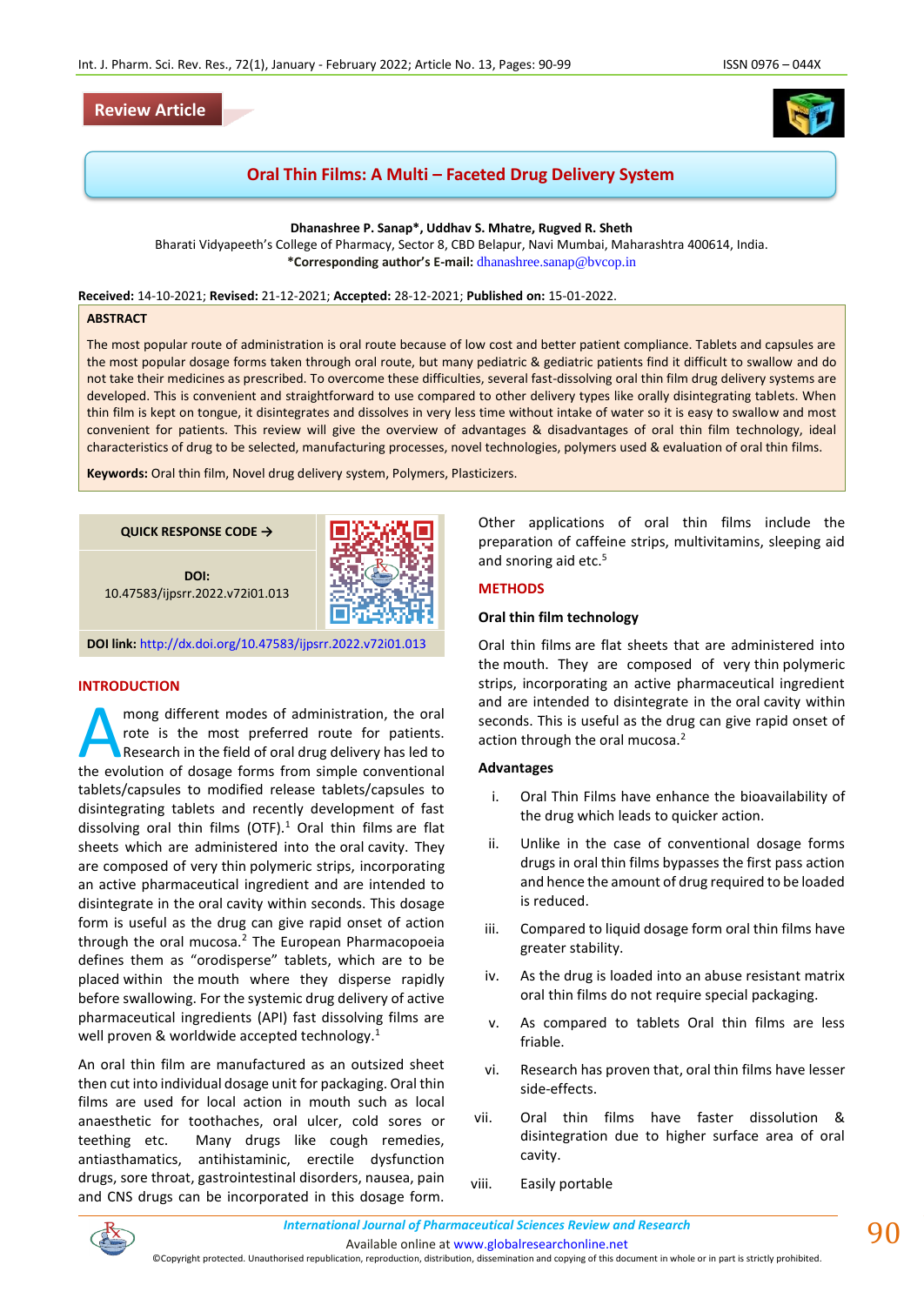# **Review Article**



# **Oral Thin Films: A Multi – Faceted Drug Delivery System**

**Dhanashree P. Sanap\*, Uddhav S. Mhatre, Rugved R. Sheth** 

Bharati Vidyapeeth's College of Pharmacy, Sector 8, CBD Belapur, Navi Mumbai, Maharashtra 400614, India. **\*Corresponding author's E-mail:** [dhanashree.sanap@bvcop.in](mailto:dhanashree.sanap@bvcop.in)

**Received:** 14-10-2021; **Revised:** 21-12-2021; **Accepted:** 28-12-2021; **Published on:** 15-01-2022.

#### **ABSTRACT**

The most popular route of administration is oral route because of low cost and better patient compliance. Tablets and capsules are the most popular dosage forms taken through oral route, but many pediatric & gediatric patients find it difficult to swallow and do not take their medicines as prescribed. To overcome these difficulties, several fast-dissolving oral thin film drug delivery systems are developed. This is convenient and straightforward to use compared to other delivery types like orally disintegrating tablets. When thin film is kept on tongue, it disintegrates and dissolves in very less time without intake of water so it is easy to swallow and most convenient for patients. This review will give the overview of advantages & disadvantages of oral thin film technology, ideal characteristics of drug to be selected, manufacturing processes, novel technologies, polymers used & evaluation of oral thin films.

**Keywords:** Oral thin film, Novel drug delivery system, Polymers, Plasticizers.

**QUICK RESPONSE CODE →**

**DOI:** 10.47583/ijpsrr.2022.v72i01.013



**DOI link:** <http://dx.doi.org/10.47583/ijpsrr.2022.v72i01.013>

# **INTRODUCTION**

mong different modes of administration, the oral rote is the most preferred route for patients. Research in the field of oral drug delivery has led to mong different modes of administration, the oral<br>rote is the most preferred route for patients.<br>Research in the field of oral drug delivery has led to<br>the evolution of dosage forms from simple conventional tablets/capsules to modified release tablets/capsules to disintegrating tablets and recently development of fast dissolving oral thin films (OTF). $1$  Oral thin films are flat sheets which are administered into the oral cavity. They are composed of very thin polymeric strips, incorporating an active pharmaceutical ingredient and are intended to disintegrate in the oral cavity within seconds. This dosage form is useful as the drug can give rapid onset of action through the oral mucosa.<sup>2</sup> The European Pharmacopoeia defines them as "orodisperse" tablets, which are to be placed within the mouth where they disperse rapidly before swallowing. For the systemic drug delivery of active pharmaceutical ingredients (API) fast dissolving films are well proven & worldwide accepted technology.<sup>1</sup>

An oral thin film are manufactured as an outsized sheet then cut into individual dosage unit for packaging. Oral thin films are used for local action in mouth such as local anaesthetic for toothaches, oral ulcer, cold sores or teething etc. Many drugs like cough remedies, antiasthamatics, antihistaminic, erectile dysfunction drugs, sore throat, gastrointestinal disorders, nausea, pain and CNS drugs can be incorporated in this dosage form. Other applications of oral thin films include the preparation of caffeine strips, multivitamins, sleeping aid and snoring aid etc.<sup>5</sup>

# **METHODS**

#### **Oral thin film technology**

Oral thin films are flat sheets that are administered into the mouth. They are composed of very thin polymeric strips, incorporating an active pharmaceutical ingredient and are intended to disintegrate in the oral cavity within seconds. This is useful as the drug can give rapid onset of action through the oral mucosa.<sup>2</sup>

#### **Advantages**

- i. Oral Thin Films have enhance the bioavailability of the drug which leads to quicker action.
- ii. Unlike in the case of conventional dosage forms drugs in oral thin films bypasses the first pass action and hence the amount of drug required to be loaded is reduced.
- iii. Compared to liquid dosage form oral thin films have greater stability.
- iv. As the drug is loaded into an abuse resistant matrix oral thin films do not require special packaging.
- v. As compared to tablets Oral thin films are less friable.
- vi. Research has proven that, oral thin films have lesser side-effects.
- vii. Oral thin films have faster dissolution & disintegration due to higher surface area of oral cavity.
- viii. Easily portable

*International Journal of Pharmaceutical Sciences Review and Research International Journal of Pharmaceutical Sciences Review and Research*

Available online a[t www.globalresearchonline.net](http://www.globalresearchonline.net/)

©Copyright protected. Unauthorised republication, reproduction, distribution, dissemination and copying of this document in whole or in part is strictly prohibited.

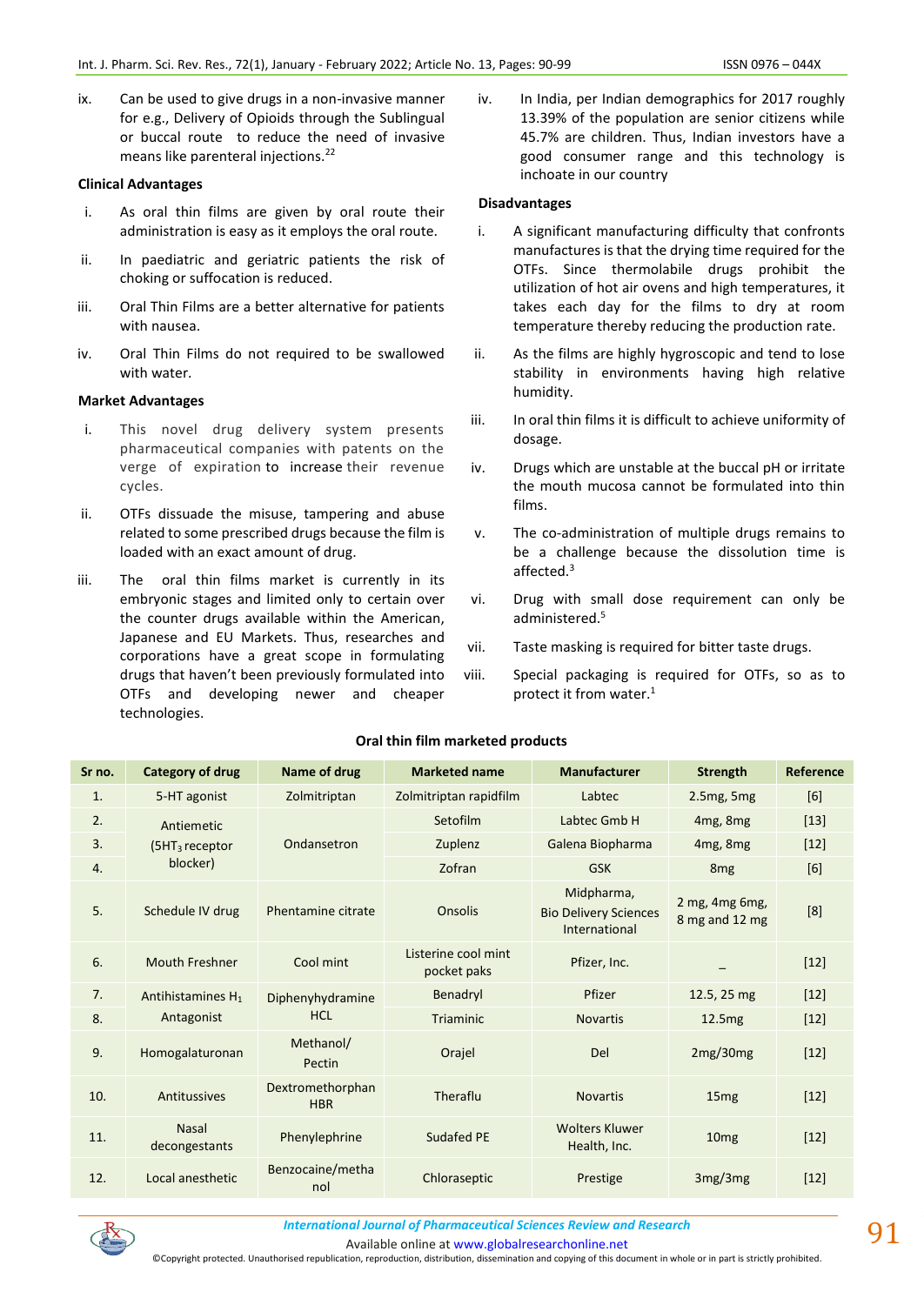ix. Can be used to give drugs in a non-invasive manner for e.g., Delivery of Opioids through the Sublingual or buccal route to reduce the need of invasive means like parenteral injections.<sup>22</sup>

#### **Clinical Advantages**

- i. As oral thin films are given by oral route their administration is easy as it employs the oral route.
- ii. In paediatric and geriatric patients the risk of choking or suffocation is reduced.
- iii. Oral Thin Films are a better alternative for patients with nausea.
- iv. Oral Thin Films do not required to be swallowed with water.

#### **Market Advantages**

- i. This novel drug delivery system presents pharmaceutical companies with patents on the verge of expiration to increase their revenue cycles.
- ii. OTFs dissuade the misuse, tampering and abuse related to some prescribed drugs because the film is loaded with an exact amount of drug.
- iii. The oral thin films market is currently in its embryonic stages and limited only to certain over the counter drugs available within the American, Japanese and EU Markets. Thus, researches and corporations have a great scope in formulating drugs that haven't been previously formulated into OTFs and developing newer and cheaper technologies.

iv. In India, per Indian demographics for 2017 roughly 13.39% of the population are senior citizens while 45.7% are children. Thus, Indian investors have a good consumer range and this technology is inchoate in our country

#### **Disadvantages**

- i. A significant manufacturing difficulty that confronts manufactures is that the drying time required for the OTFs. Since thermolabile drugs prohibit the utilization of hot air ovens and high temperatures, it takes each day for the films to dry at room temperature thereby reducing the production rate.
- ii. As the films are highly hygroscopic and tend to lose stability in environments having high relative humidity.
- iii. In oral thin films it is difficult to achieve uniformity of dosage.
- iv. Drugs which are unstable at the buccal pH or irritate the mouth mucosa cannot be formulated into thin films.
- v. The co-administration of multiple drugs remains to be a challenge because the dissolution time is affected $3$
- vi. Drug with small dose requirement can only be administered.<sup>5</sup>
- vii. Taste masking is required for bitter taste drugs.
- viii. Special packaging is required for OTFs, so as to protect it from water.<sup>1</sup>

| Sr no. | <b>Category of drug</b>                               | Name of drug                   | <b>Marketed name</b>               | <b>Manufacturer</b>                                         | <b>Strength</b>                  | Reference |
|--------|-------------------------------------------------------|--------------------------------|------------------------------------|-------------------------------------------------------------|----------------------------------|-----------|
| 1.     | 5-HT agonist                                          | Zolmitriptan                   | Zolmitriptan rapidfilm             | Labtec                                                      | $2.5mg$ , 5mg                    | [6]       |
| 2.     | Antiemetic<br>(5HT <sub>3</sub> receptor)<br>blocker) | Ondansetron                    | Setofilm                           | Labtec Gmb H                                                | 4mg, 8mg                         | $[13]$    |
| 3.     |                                                       |                                | Zuplenz                            | Galena Biopharma                                            | 4mg, 8mg                         | $[12]$    |
| 4.     |                                                       |                                | Zofran                             | <b>GSK</b>                                                  | 8 <sub>mg</sub>                  | [6]       |
| 5.     | Schedule IV drug                                      | Phentamine citrate             | <b>Onsolis</b>                     | Midpharma,<br><b>Bio Delivery Sciences</b><br>International | 2 mg, 4mg 6mg,<br>8 mg and 12 mg | [8]       |
| 6.     | <b>Mouth Freshner</b>                                 | Cool mint                      | Listerine cool mint<br>pocket paks | Pfizer, Inc.                                                |                                  | $[12]$    |
| 7.     | Antihistamines H <sub>1</sub>                         | Diphenyhydramine               | Benadryl                           | Pfizer                                                      | 12.5, 25 mg                      | $[12]$    |
| 8.     | Antagonist                                            | <b>HCL</b>                     | <b>Triaminic</b>                   | <b>Novartis</b>                                             | 12.5mg                           | $[12]$    |
| 9.     | Homogalaturonan                                       | Methanol/<br>Pectin            | Orajel                             | Del                                                         | 2mg/30mg                         | $[12]$    |
| 10.    | Antitussives                                          | Dextromethorphan<br><b>HBR</b> | Theraflu                           | <b>Novartis</b>                                             | 15 <sub>mg</sub>                 | $[12]$    |
| 11.    | <b>Nasal</b><br>decongestants                         | Phenylephrine                  | <b>Sudafed PE</b>                  | <b>Wolters Kluwer</b><br>Health, Inc.                       | 10 <sub>mg</sub>                 | $[12]$    |
| 12.    | Local anesthetic                                      | Benzocaine/metha<br>nol        | Chloraseptic                       | Prestige                                                    | 3mg/3mg                          | $[12]$    |

# **Oral thin film marketed products**



Available online a[t www.globalresearchonline.net](http://www.globalresearchonline.net/)

©Copyright protected. Unauthorised republication, reproduction, distribution, dissemination and copying of this document in whole or in part is strictly prohibited.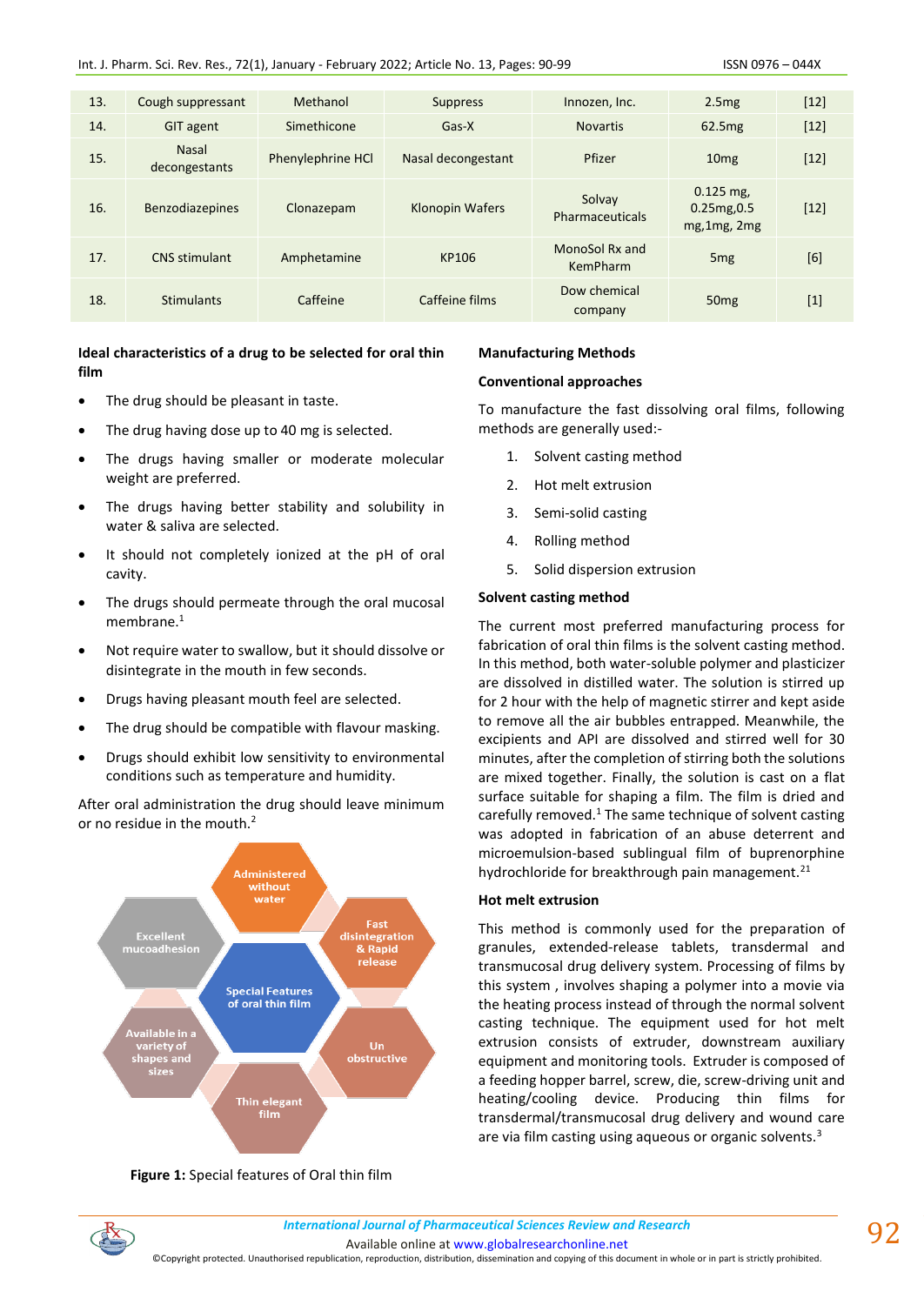| 13. | Cough suppressant             | Methanol          | <b>Suppress</b>        | Innozen, Inc.                     | 2.5mg                                      | $[12]$ |
|-----|-------------------------------|-------------------|------------------------|-----------------------------------|--------------------------------------------|--------|
| 14. | <b>GIT agent</b>              | Simethicone       | Gas-X                  | <b>Novartis</b>                   | 62.5 <sub>mg</sub>                         | $[12]$ |
| 15. | <b>Nasal</b><br>decongestants | Phenylephrine HCl | Nasal decongestant     | Pfizer                            | 10 <sub>mg</sub>                           | $[12]$ |
| 16. | <b>Benzodiazepines</b>        | Clonazepam        | <b>Klonopin Wafers</b> | Solvay<br>Pharmaceuticals         | $0.125$ mg,<br>0.25mg, 0.5<br>mg, 1mg, 2mg | $[12]$ |
| 17. | <b>CNS</b> stimulant          | Amphetamine       | KP106                  | MonoSol Rx and<br><b>KemPharm</b> | 5 <sub>mg</sub>                            | [6]    |
| 18. | <b>Stimulants</b>             | Caffeine          | Caffeine films         | Dow chemical<br>company           | 50 <sub>mg</sub>                           | $[1]$  |

# **Ideal characteristics of a drug to be selected for oral thin film**

- The drug should be pleasant in taste.
- The drug having dose up to 40 mg is selected.
- The drugs having smaller or moderate molecular weight are preferred.
- The drugs having better stability and solubility in water & saliva are selected.
- It should not completely ionized at the pH of oral cavity.
- The drugs should permeate through the oral mucosal membrane.<sup>1</sup>
- Not require water to swallow, but it should dissolve or disintegrate in the mouth in few seconds.
- Drugs having pleasant mouth feel are selected.
- The drug should be compatible with flavour masking.
- Drugs should exhibit low sensitivity to environmental conditions such as temperature and humidity.

# After oral administration the drug should leave minimum or no residue in the mouth.<sup>2</sup>



**Figure 1:** Special features of Oral thin film

# **Manufacturing Methods**

#### **Conventional approaches**

To manufacture the fast dissolving oral films, following methods are generally used:-

- 1. Solvent casting method
- 2. Hot melt extrusion
- 3. Semi-solid casting
- 4. Rolling method
- 5. Solid dispersion extrusion

# **Solvent casting method**

The current most preferred manufacturing process for fabrication of oral thin films is the solvent casting method. In this method, both water-soluble polymer and plasticizer are dissolved in distilled water. The solution is stirred up for 2 hour with the help of magnetic stirrer and kept aside to remove all the air bubbles entrapped. Meanwhile, the excipients and API are dissolved and stirred well for 30 minutes, after the completion of stirring both the solutions are mixed together. Finally, the solution is cast on a flat surface suitable for shaping a film. The film is dried and carefully removed. $1$  The same technique of solvent casting was adopted in fabrication of an abuse deterrent and microemulsion-based sublingual film of buprenorphine hydrochloride for breakthrough pain management.<sup>21</sup>

# **Hot melt extrusion**

This method is commonly used for the preparation of granules, extended-release tablets, transdermal and transmucosal drug delivery system. Processing of films by this system , involves shaping a polymer into a movie via the heating process instead of through the normal solvent casting technique. The equipment used for hot melt extrusion consists of extruder, downstream auxiliary equipment and monitoring tools. Extruder is composed of a feeding hopper barrel, screw, die, screw-driving unit and heating/cooling device. Producing thin films for transdermal/transmucosal drug delivery and wound care are via film casting using aqueous or organic solvents.<sup>3</sup>



<sup>©</sup>Copyright protected. Unauthorised republication, reproduction, distribution, dissemination and copying of this document in whole or in part is strictly prohibited.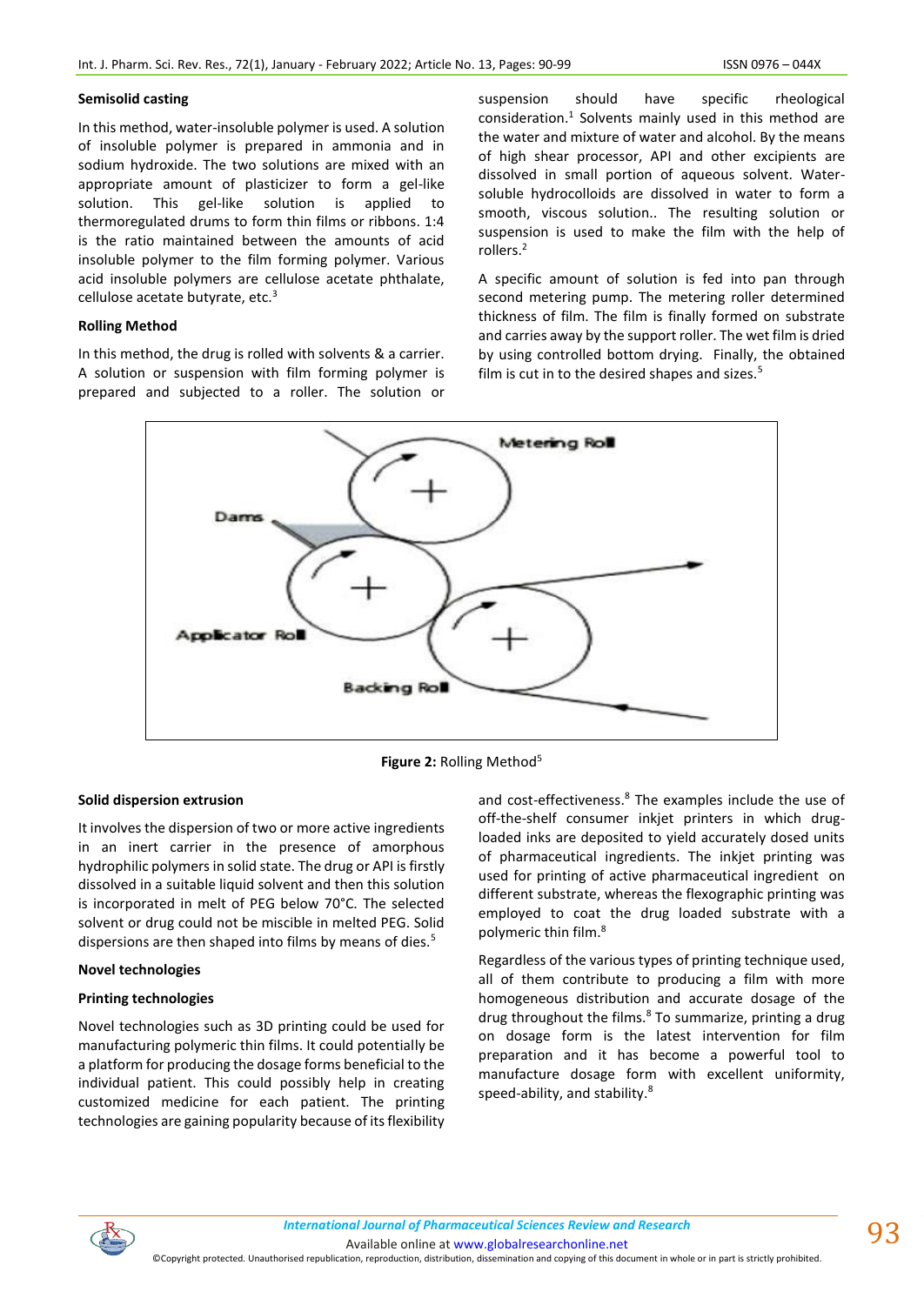#### **Semisolid casting**

In this method, water-insoluble polymer is used. A solution of insoluble polymer is prepared in ammonia and in sodium hydroxide. The two solutions are mixed with an appropriate amount of plasticizer to form a gel-like solution. This gel-like solution is applied to thermoregulated drums to form thin films or ribbons. 1:4 is the ratio maintained between the amounts of acid insoluble polymer to the film forming polymer. Various acid insoluble polymers are cellulose acetate phthalate, cellulose acetate butyrate, etc.<sup>3</sup>

#### **Rolling Method**

In this method, the drug is rolled with solvents & a carrier. A solution or suspension with film forming polymer is prepared and subjected to a roller. The solution or suspension should have specific rheological consideration. $1$  Solvents mainly used in this method are the water and mixture of water and alcohol. By the means of high shear processor, API and other excipients are dissolved in small portion of aqueous solvent. Watersoluble hydrocolloids are dissolved in water to form a smooth, viscous solution.. The resulting solution or suspension is used to make the film with the help of rollers<sup>2</sup>

A specific amount of solution is fed into pan through second metering pump. The metering roller determined thickness of film. The film is finally formed on substrate and carries away by the support roller. The wet film is dried by using controlled bottom drying. Finally, the obtained film is cut in to the desired shapes and sizes.<sup>5</sup>



Figure 2: Rolling Method<sup>5</sup>

#### **Solid dispersion extrusion**

It involves the dispersion of two or more active ingredients in an inert carrier in the presence of amorphous hydrophilic polymers in solid state. The drug or API is firstly dissolved in a suitable liquid solvent and then this solution is incorporated in melt of PEG below 70°C. The selected solvent or drug could not be miscible in melted PEG. Solid dispersions are then shaped into films by means of dies.<sup>5</sup>

# **Novel technologies**

#### **Printing technologies**

Novel technologies such as 3D printing could be used for manufacturing polymeric thin films. It could potentially be a platform for producing the dosage forms beneficial to the individual patient. This could possibly help in creating customized medicine for each patient. The printing technologies are gaining popularity because of its flexibility and cost-effectiveness.<sup>8</sup> The examples include the use of off-the-shelf consumer inkjet printers in which drugloaded inks are deposited to yield accurately dosed units of pharmaceutical ingredients. The inkjet printing was used for printing of active pharmaceutical ingredient on different substrate, whereas the flexographic printing was employed to coat the drug loaded substrate with a polymeric thin film.<sup>8</sup>

Regardless of the various types of printing technique used, all of them contribute to producing a film with more homogeneous distribution and accurate dosage of the drug throughout the films.<sup>8</sup> To summarize, printing a drug on dosage form is the latest intervention for film preparation and it has become a powerful tool to manufacture dosage form with excellent uniformity, speed-ability, and stability.8



Available online a[t www.globalresearchonline.net](http://www.globalresearchonline.net/)

©Copyright protected. Unauthorised republication, reproduction, distribution, dissemination and copying of this document in whole or in part is strictly prohibited.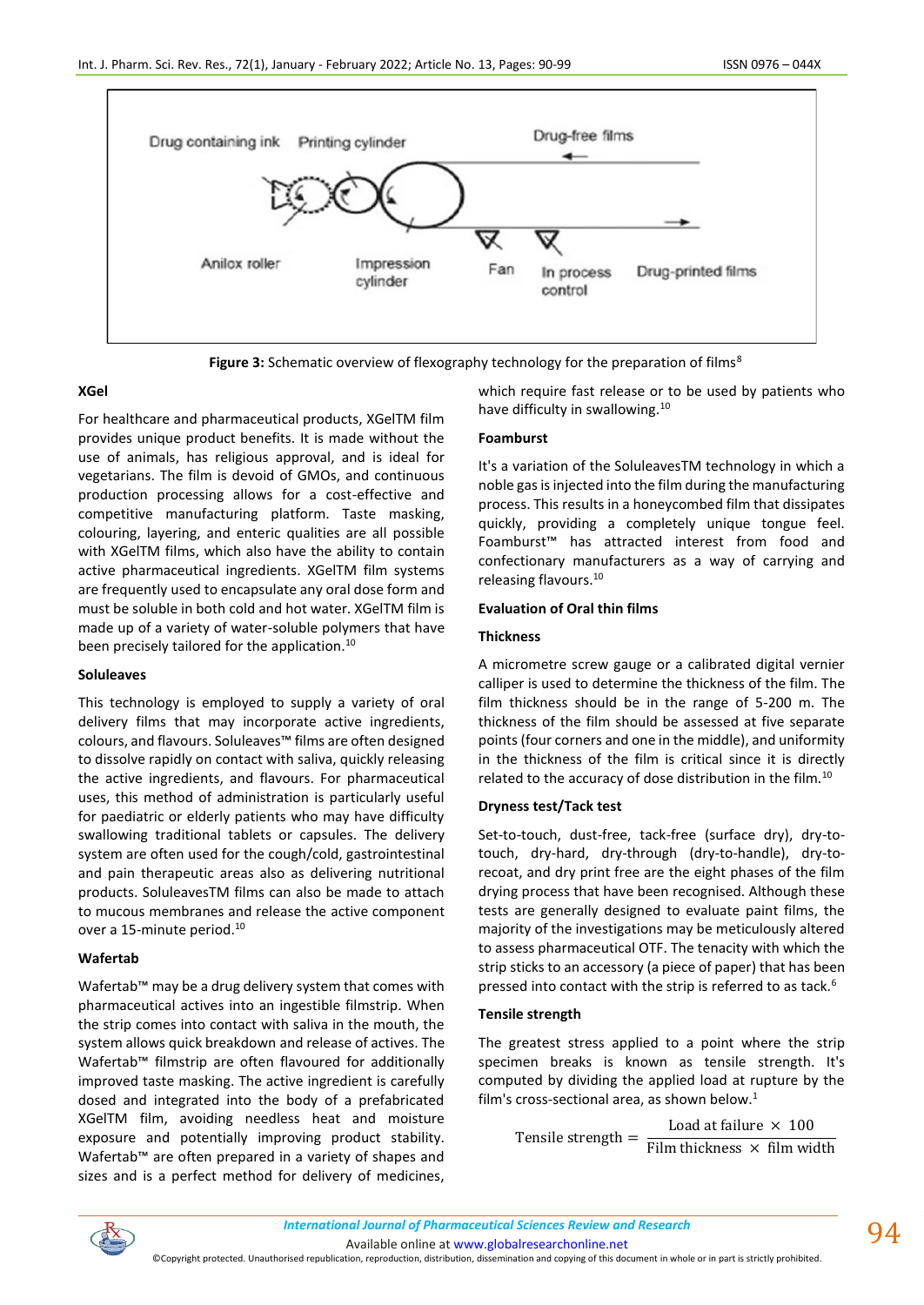

Figure 3: Schematic overview of flexography technology for the preparation of films<sup>8</sup>

#### **XGel**

For healthcare and pharmaceutical products, XGelTM film provides unique product benefits. It is made without the use of animals, has religious approval, and is ideal for vegetarians. The film is devoid of GMOs, and continuous production processing allows for a cost-effective and competitive manufacturing platform. Taste masking, colouring, layering, and enteric qualities are all possible with XGelTM films, which also have the ability to contain active pharmaceutical ingredients. XGelTM film systems are frequently used to encapsulate any oral dose form and must be soluble in both cold and hot water. XGelTM film is made up of a variety of water-soluble polymers that have been precisely tailored for the application.<sup>10</sup>

# **Soluleaves**

This technology is employed to supply a variety of oral delivery films that may incorporate active ingredients, colours, and flavours. Soluleaves™ films are often designed to dissolve rapidly on contact with saliva, quickly releasing the active ingredients, and flavours. For pharmaceutical uses, this method of administration is particularly useful for paediatric or elderly patients who may have difficulty swallowing traditional tablets or capsules. The delivery system are often used for the cough/cold, gastrointestinal and pain therapeutic areas also as delivering nutritional products. SoluleavesTM films can also be made to attach to mucous membranes and release the active component over a 15-minute period.<sup>10</sup>

# **Wafertab**

Wafertab™ may be a drug delivery system that comes with pharmaceutical actives into an ingestible filmstrip. When the strip comes into contact with saliva in the mouth, the system allows quick breakdown and release of actives. The Wafertab™ filmstrip are often flavoured for additionally improved taste masking. The active ingredient is carefully dosed and integrated into the body of a prefabricated XGelTM film, avoiding needless heat and moisture exposure and potentially improving product stability. Wafertab™ are often prepared in a variety of shapes and sizes and is a perfect method for delivery of medicines,

which require fast release or to be used by patients who have difficulty in swallowing.<sup>10</sup>

# **Foamburst**

It's a variation of the SoluleavesTM technology in which a noble gas is injected into the film during the manufacturing process. This results in a honeycombed film that dissipates quickly, providing a completely unique tongue feel. Foamburst™ has attracted interest from food and confectionary manufacturers as a way of carrying and releasing flavours.<sup>10</sup>

#### **Evaluation of Oral thin films**

### **Thickness**

A micrometre screw gauge or a calibrated digital vernier calliper is used to determine the thickness of the film. The film thickness should be in the range of 5-200 m. The thickness of the film should be assessed at five separate points (four corners and one in the middle), and uniformity in the thickness of the film is critical since it is directly related to the accuracy of dose distribution in the film.<sup>10</sup>

# **Dryness test/Tack test**

Set-to-touch, dust-free, tack-free (surface dry), dry-totouch, dry-hard, dry-through (dry-to-handle), dry-torecoat, and dry print free are the eight phases of the film drying process that have been recognised. Although these tests are generally designed to evaluate paint films, the majority of the investigations may be meticulously altered to assess pharmaceutical OTF. The tenacity with which the strip sticks to an accessory (a piece of paper) that has been pressed into contact with the strip is referred to as tack.<sup>6</sup>

# **Tensile strength**

The greatest stress applied to a point where the strip specimen breaks is known as tensile strength. It's computed by dividing the applied load at rupture by the film's cross-sectional area, as shown below.<sup>1</sup>

Tensile strength =  $\frac{1}{\text{Film thickness } \times \text{ film width}}$ Load at failure  $\times$  100



Available online a[t www.globalresearchonline.net](http://www.globalresearchonline.net/)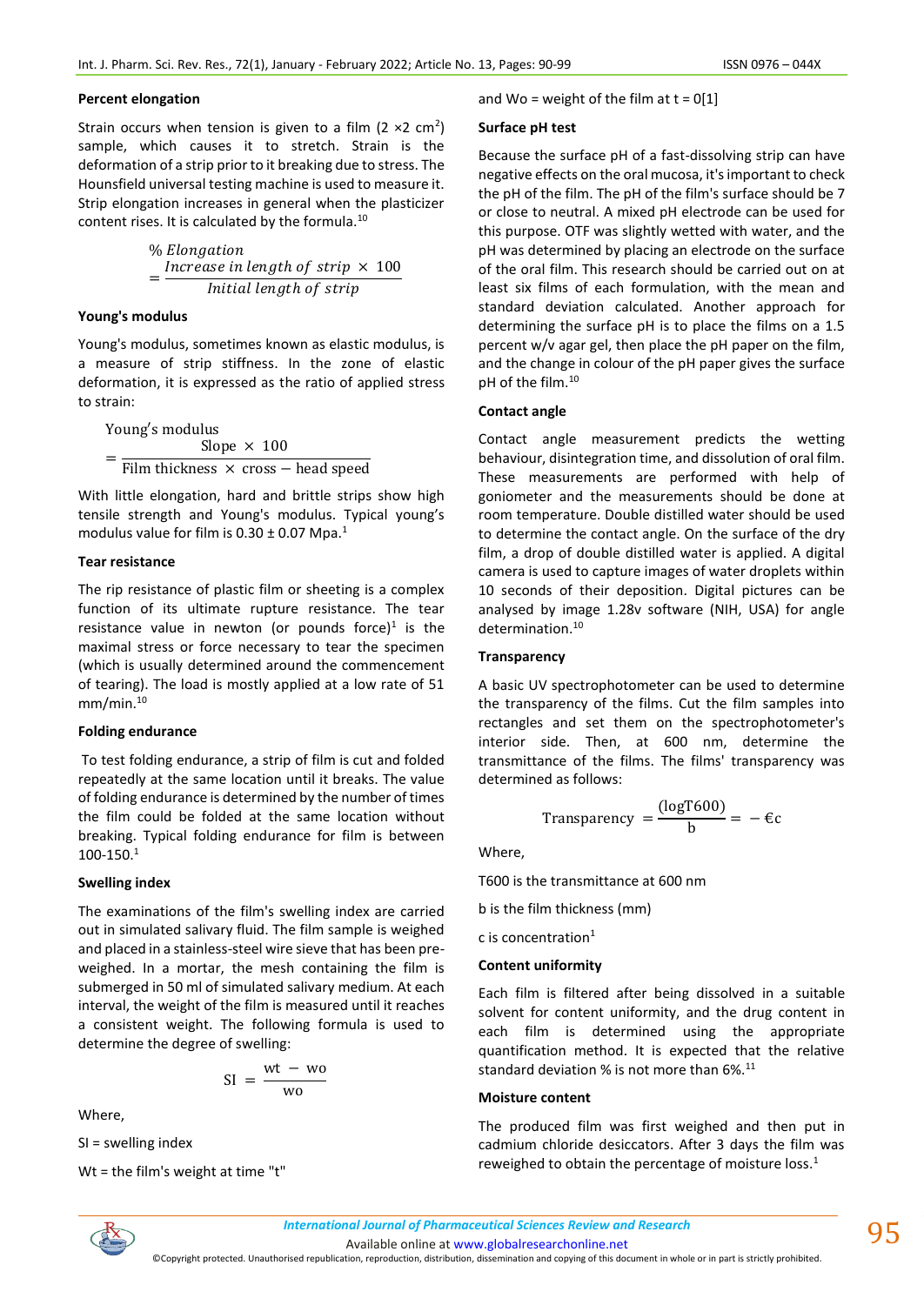#### **Percent elongation**

Strain occurs when tension is given to a film  $(2 \times 2 \text{ cm}^2)$ sample, which causes it to stretch. Strain is the deformation of a strip prior to it breaking due to stress. The Hounsfield universal testing machine is used to measure it. Strip elongation increases in general when the plasticizer content rises. It is calculated by the formula.<sup>10</sup>

> % Elongation = Increase in length of strip  $\times$  100 Initial length of strip

#### **Young's modulus**

Young's modulus, sometimes known as elastic modulus, is a measure of strip stiffness. In the zone of elastic deformation, it is expressed as the ratio of applied stress to strain:

Young′s modulus = Slope  $\times$  100 Film thickness  $\times$  cross – head speed

With little elongation, hard and brittle strips show high tensile strength and Young's modulus. Typical young's modulus value for film is  $0.30 \pm 0.07$  Mpa.<sup>1</sup>

# **Tear resistance**

The rip resistance of plastic film or sheeting is a complex function of its ultimate rupture resistance. The tear resistance value in newton (or pounds force)<sup>1</sup> is the maximal stress or force necessary to tear the specimen (which is usually determined around the commencement of tearing). The load is mostly applied at a low rate of 51 mm/min.<sup>10</sup>

# **Folding endurance**

To test folding endurance, a strip of film is cut and folded repeatedly at the same location until it breaks. The value of folding endurance is determined by the number of times the film could be folded at the same location without breaking. Typical folding endurance for film is between 100-150.<sup>1</sup>

# **Swelling index**

The examinations of the film's swelling index are carried out in simulated salivary fluid. The film sample is weighed and placed in a stainless-steel wire sieve that has been preweighed. In a mortar, the mesh containing the film is submerged in 50 ml of simulated salivary medium. At each interval, the weight of the film is measured until it reaches a consistent weight. The following formula is used to determine the degree of swelling:

$$
SI = \frac{wt - wo}{wo}
$$

Where,

SI = swelling index

Wt = the film's weight at time "t"

and Wo = weight of the film at  $t = 0[1]$ 

# **Surface pH test**

Because the surface pH of a fast-dissolving strip can have negative effects on the oral mucosa, it's important to check the pH of the film. The pH of the film's surface should be 7 or close to neutral. A mixed pH electrode can be used for this purpose. OTF was slightly wetted with water, and the pH was determined by placing an electrode on the surface of the oral film. This research should be carried out on at least six films of each formulation, with the mean and standard deviation calculated. Another approach for determining the surface pH is to place the films on a 1.5 percent w/v agar gel, then place the pH paper on the film, and the change in colour of the pH paper gives the surface pH of the film.<sup>10</sup>

# **Contact angle**

Contact angle measurement predicts the wetting behaviour, disintegration time, and dissolution of oral film. These measurements are performed with help of goniometer and the measurements should be done at room temperature. Double distilled water should be used to determine the contact angle. On the surface of the dry film, a drop of double distilled water is applied. A digital camera is used to capture images of water droplets within 10 seconds of their deposition. Digital pictures can be analysed by image 1.28v software (NIH, USA) for angle determination.<sup>10</sup>

### **Transparency**

A basic UV spectrophotometer can be used to determine the transparency of the films. Cut the film samples into rectangles and set them on the spectrophotometer's interior side. Then, at 600 nm, determine the transmittance of the films. The films' transparency was determined as follows:

$$
Transport = \frac{(\log 1600)}{b} = -\epsilon c
$$

Where,

T600 is the transmittance at 600 nm

b is the film thickness (mm)

c is concentration $1$ 

# **Content uniformity**

Each film is filtered after being dissolved in a suitable solvent for content uniformity, and the drug content in each film is determined using the appropriate quantification method. It is expected that the relative standard deviation % is not more than  $6\%$ .<sup>11</sup>

# **Moisture content**

The produced film was first weighed and then put in cadmium chloride desiccators. After 3 days the film was reweighed to obtain the percentage of moisture loss. $1$ 



Available online a[t www.globalresearchonline.net](http://www.globalresearchonline.net/) ©Copyright protected. Unauthorised republication, reproduction, distribution, dissemination and copying of this document in whole or in part is strictly prohibited.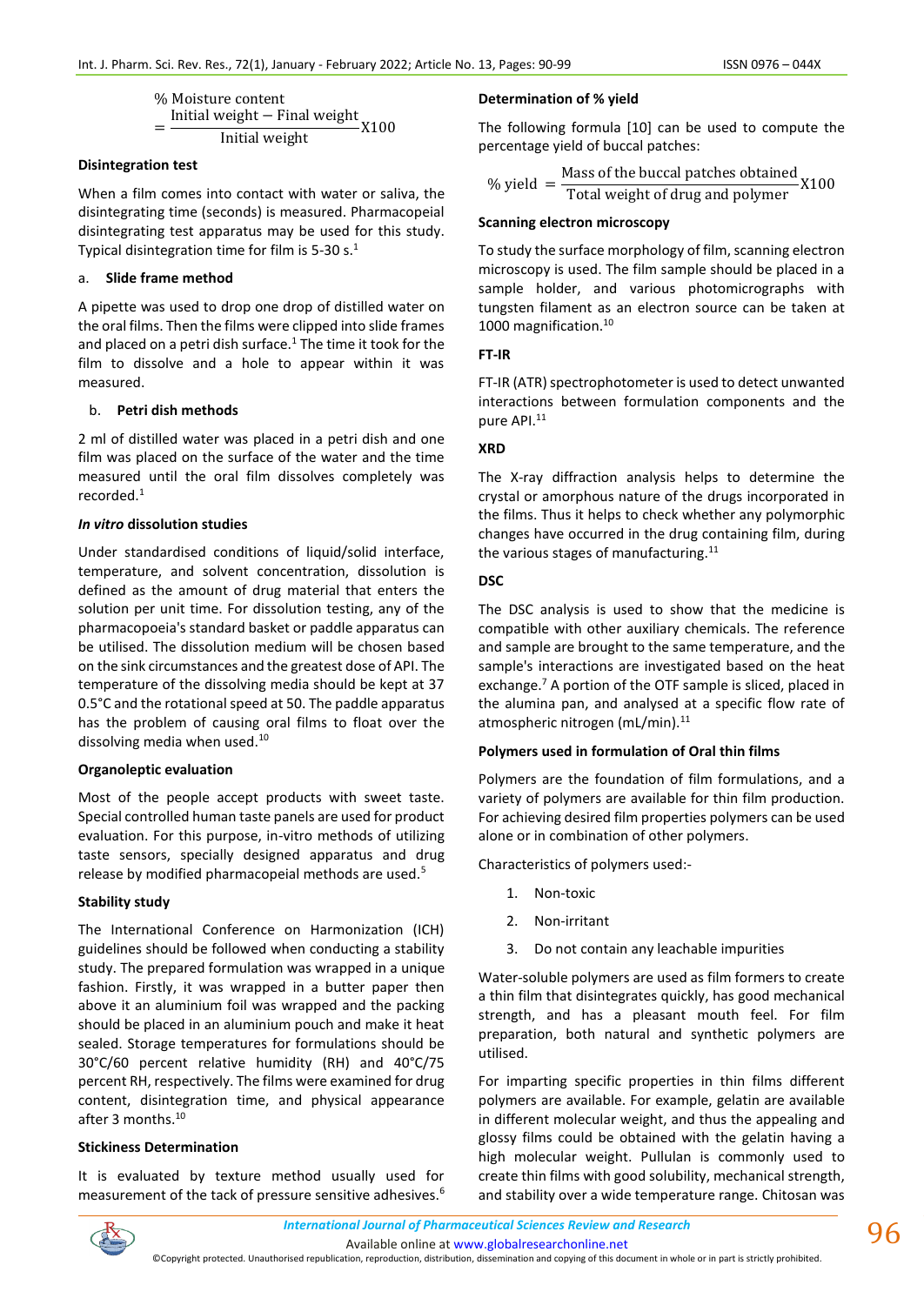% Moisture content = Initial weight − Final weight Initial weight X100

#### **Disintegration test**

When a film comes into contact with water or saliva, the disintegrating time (seconds) is measured. Pharmacopeial disintegrating test apparatus may be used for this study. Typical disintegration time for film is  $5-30 s<sup>1</sup>$ 

# a. **Slide frame method**

A pipette was used to drop one drop of distilled water on the oral films. Then the films were clipped into slide frames and placed on a petri dish surface.<sup>1</sup> The time it took for the film to dissolve and a hole to appear within it was measured.

#### b. **Petri dish methods**

2 ml of distilled water was placed in a petri dish and one film was placed on the surface of the water and the time measured until the oral film dissolves completely was recorded.<sup>1</sup>

### *In vitro* **dissolution studies**

Under standardised conditions of liquid/solid interface, temperature, and solvent concentration, dissolution is defined as the amount of drug material that enters the solution per unit time. For dissolution testing, any of the pharmacopoeia's standard basket or paddle apparatus can be utilised. The dissolution medium will be chosen based on the sink circumstances and the greatest dose of API. The temperature of the dissolving media should be kept at 37 0.5°C and the rotational speed at 50. The paddle apparatus has the problem of causing oral films to float over the dissolving media when used.<sup>10</sup>

# **Organoleptic evaluation**

Most of the people accept products with sweet taste. Special controlled human taste panels are used for product evaluation. For this purpose, in-vitro methods of utilizing taste sensors, specially designed apparatus and drug release by modified pharmacopeial methods are used.<sup>5</sup>

# **Stability study**

The International Conference on Harmonization (ICH) guidelines should be followed when conducting a stability study. The prepared formulation was wrapped in a unique fashion. Firstly, it was wrapped in a butter paper then above it an aluminium foil was wrapped and the packing should be placed in an aluminium pouch and make it heat sealed. Storage temperatures for formulations should be 30°C/60 percent relative humidity (RH) and 40°C/75 percent RH, respectively. The films were examined for drug content, disintegration time, and physical appearance after 3 months.<sup>10</sup>

#### **Stickiness Determination**

It is evaluated by texture method usually used for measurement of the tack of pressure sensitive adhesives.<sup>6</sup>

# **Determination of % yield**

The following formula [10] can be used to compute the percentage yield of buccal patches:

$$
\% yield = \frac{\text{Mass of the buccal patches obtained}}{\text{Total weight of drug and polymer}} X100
$$

#### **Scanning electron microscopy**

To study the surface morphology of film, scanning electron microscopy is used. The film sample should be placed in a sample holder, and various photomicrographs with tungsten filament as an electron source can be taken at 1000 magnification.<sup>10</sup>

#### **FT-IR**

FT-IR (ATR) spectrophotometer is used to detect unwanted interactions between formulation components and the pure API.<sup>11</sup>

#### **XRD**

The X-ray diffraction analysis helps to determine the crystal or amorphous nature of the drugs incorporated in the films. Thus it helps to check whether any polymorphic changes have occurred in the drug containing film, during the various stages of manufacturing. $11$ 

# **DSC**

The DSC analysis is used to show that the medicine is compatible with other auxiliary chemicals. The reference and sample are brought to the same temperature, and the sample's interactions are investigated based on the heat exchange.<sup>7</sup> A portion of the OTF sample is sliced, placed in the alumina pan, and analysed at a specific flow rate of atmospheric nitrogen (mL/min).<sup>11</sup>

#### **Polymers used in formulation of Oral thin films**

Polymers are the foundation of film formulations, and a variety of polymers are available for thin film production. For achieving desired film properties polymers can be used alone or in combination of other polymers.

Characteristics of polymers used:-

- 1. Non-toxic
- 2. Non-irritant
- 3. Do not contain any leachable impurities

Water-soluble polymers are used as film formers to create a thin film that disintegrates quickly, has good mechanical strength, and has a pleasant mouth feel. For film preparation, both natural and synthetic polymers are utilised.

For imparting specific properties in thin films different polymers are available. For example, gelatin are available in different molecular weight, and thus the appealing and glossy films could be obtained with the gelatin having a high molecular weight. Pullulan is commonly used to create thin films with good solubility, mechanical strength, and stability over a wide temperature range. Chitosan was

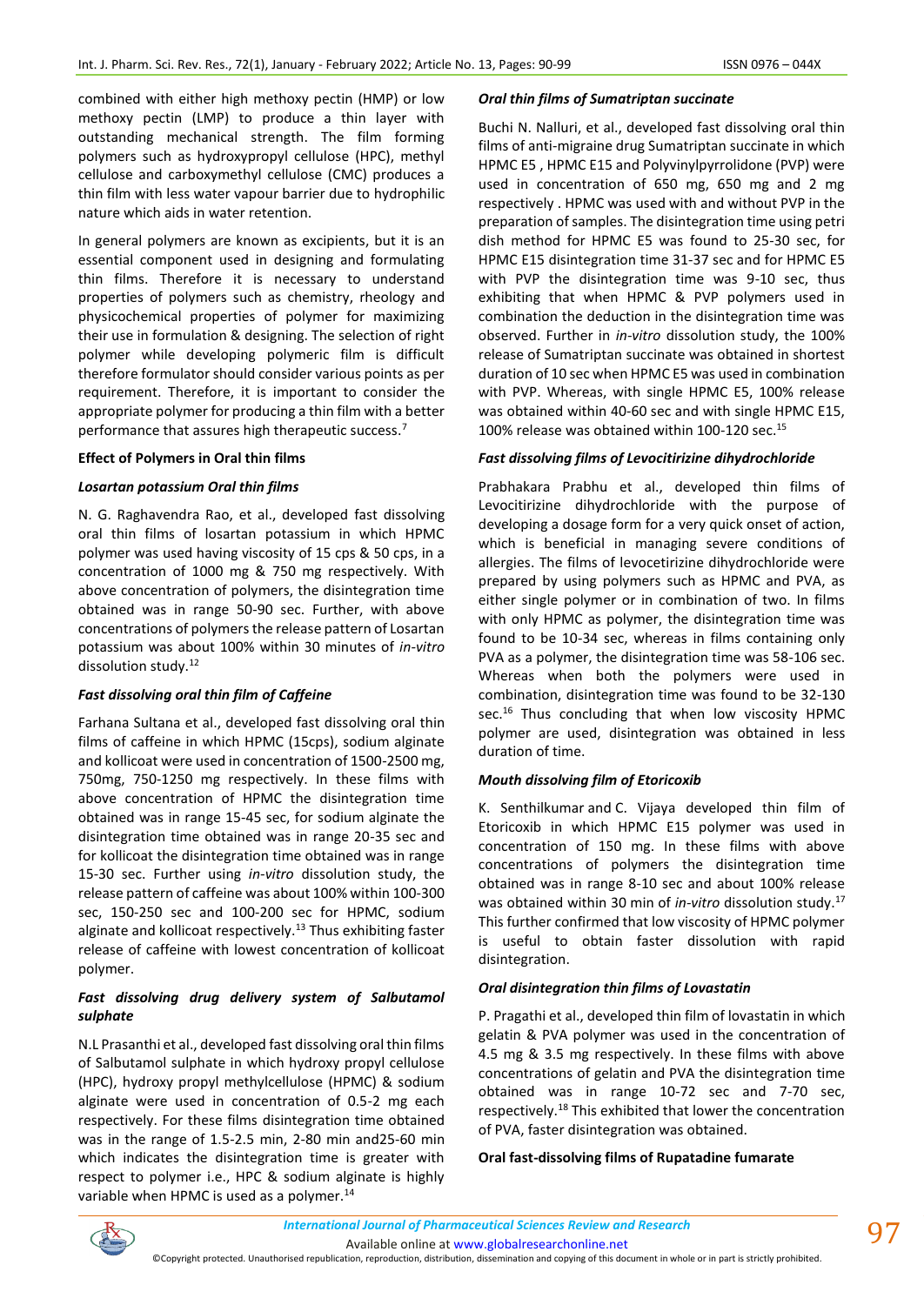combined with either high methoxy pectin (HMP) or low methoxy pectin (LMP) to produce a thin layer with outstanding mechanical strength. The film forming polymers such as hydroxypropyl cellulose (HPC), methyl cellulose and carboxymethyl cellulose (CMC) produces a thin film with less water vapour barrier due to hydrophilic nature which aids in water retention.

In general polymers are known as excipients, but it is an essential component used in designing and formulating thin films. Therefore it is necessary to understand properties of polymers such as chemistry, rheology and physicochemical properties of polymer for maximizing their use in formulation & designing. The selection of right polymer while developing polymeric film is difficult therefore formulator should consider various points as per requirement. Therefore, it is important to consider the appropriate polymer for producing a thin film with a better performance that assures high therapeutic success.<sup>7</sup>

#### **Effect of Polymers in Oral thin films**

#### *Losartan potassium Oral thin films*

N. G. Raghavendra Rao, et al., developed fast dissolving oral thin films of losartan potassium in which HPMC polymer was used having viscosity of 15 cps & 50 cps, in a concentration of 1000 mg & 750 mg respectively. With above concentration of polymers, the disintegration time obtained was in range 50-90 sec. Further, with above concentrations of polymers the release pattern of Losartan potassium was about 100% within 30 minutes of *in-vitro* dissolution study.<sup>12</sup>

# *Fast dissolving oral thin film of Caffeine*

Farhana Sultana et al., developed fast dissolving oral thin films of caffeine in which HPMC (15cps), sodium alginate and kollicoat were used in concentration of 1500-2500 mg, 750mg, 750-1250 mg respectively. In these films with above concentration of HPMC the disintegration time obtained was in range 15-45 sec, for sodium alginate the disintegration time obtained was in range 20-35 sec and for kollicoat the disintegration time obtained was in range 15-30 sec. Further using *in-vitro* dissolution study, the release pattern of caffeine was about 100% within 100-300 sec, 150-250 sec and 100-200 sec for HPMC, sodium alginate and kollicoat respectively.<sup>13</sup> Thus exhibiting faster release of caffeine with lowest concentration of kollicoat polymer.

# *Fast dissolving drug delivery system of Salbutamol sulphate*

N.L Prasanthi et al., developed fast dissolving oral thin films of Salbutamol sulphate in which hydroxy propyl cellulose (HPC), hydroxy propyl methylcellulose (HPMC) & sodium alginate were used in concentration of 0.5-2 mg each respectively. For these films disintegration time obtained was in the range of 1.5-2.5 min, 2-80 min and25-60 min which indicates the disintegration time is greater with respect to polymer i.e., HPC & sodium alginate is highly variable when HPMC is used as a polymer.<sup>14</sup>

#### *Oral thin films of Sumatriptan succinate*

Buchi N. Nalluri, et al., developed fast dissolving oral thin films of anti-migraine drug Sumatriptan succinate in which HPMC E5 , HPMC E15 and Polyvinylpyrrolidone (PVP) were used in concentration of 650 mg, 650 mg and 2 mg respectively . HPMC was used with and without PVP in the preparation of samples. The disintegration time using petri dish method for HPMC E5 was found to 25-30 sec, for HPMC E15 disintegration time 31-37 sec and for HPMC E5 with PVP the disintegration time was 9-10 sec, thus exhibiting that when HPMC & PVP polymers used in combination the deduction in the disintegration time was observed. Further in *in-vitro* dissolution study, the 100% release of Sumatriptan succinate was obtained in shortest duration of 10 sec when HPMC E5 was used in combination with PVP. Whereas, with single HPMC E5, 100% release was obtained within 40-60 sec and with single HPMC E15, 100% release was obtained within 100-120 sec.<sup>15</sup>

#### *Fast dissolving films of Levocitirizine dihydrochloride*

Prabhakara Prabhu et al., developed thin films of Levocitirizine dihydrochloride with the purpose of developing a dosage form for a very quick onset of action, which is beneficial in managing severe conditions of allergies. The films of levocetirizine dihydrochloride were prepared by using polymers such as HPMC and PVA, as either single polymer or in combination of two. In films with only HPMC as polymer, the disintegration time was found to be 10-34 sec, whereas in films containing only PVA as a polymer, the disintegration time was 58-106 sec. Whereas when both the polymers were used in combination, disintegration time was found to be 32-130 sec.<sup>16</sup> Thus concluding that when low viscosity HPMC polymer are used, disintegration was obtained in less duration of time.

# *Mouth dissolving film of Etoricoxib*

K. Senthilkumar and C. Vijaya developed thin film of Etoricoxib in which HPMC E15 polymer was used in concentration of 150 mg. In these films with above concentrations of polymers the disintegration time obtained was in range 8-10 sec and about 100% release was obtained within 30 min of *in-vitro* dissolution study.<sup>17</sup> This further confirmed that low viscosity of HPMC polymer is useful to obtain faster dissolution with rapid disintegration.

#### *Oral disintegration thin films of Lovastatin*

P. Pragathi et al., developed thin film of lovastatin in which gelatin & PVA polymer was used in the concentration of 4.5 mg & 3.5 mg respectively. In these films with above concentrations of gelatin and PVA the disintegration time obtained was in range 10-72 sec and 7-70 sec, respectively.<sup>18</sup> This exhibited that lower the concentration of PVA, faster disintegration was obtained.

# **Oral fast-dissolving films of Rupatadine fumarate**



Available online a[t www.globalresearchonline.net](http://www.globalresearchonline.net/)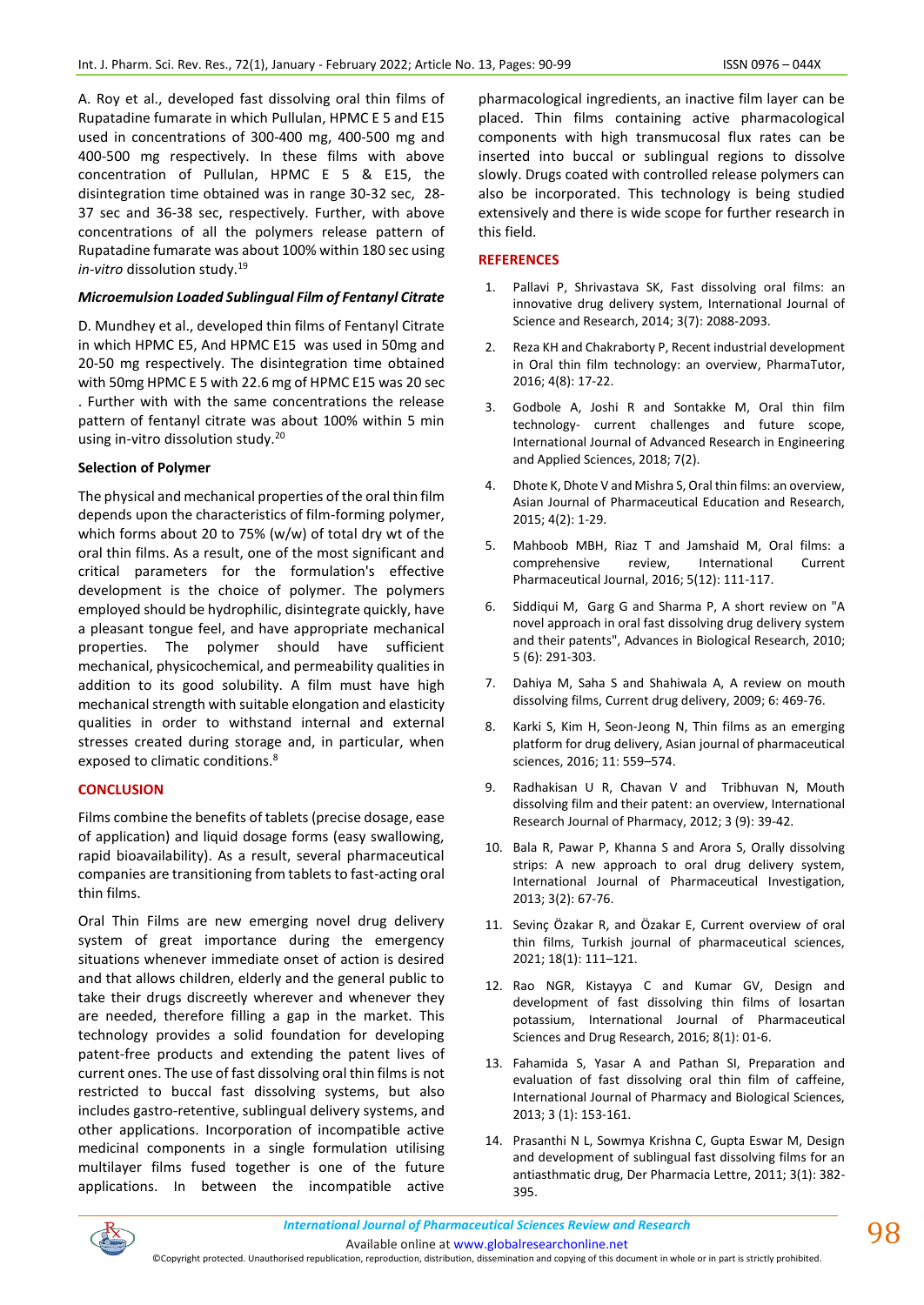A. Roy et al., developed fast dissolving oral thin films of Rupatadine fumarate in which Pullulan, HPMC E 5 and E15 used in concentrations of 300-400 mg, 400-500 mg and 400-500 mg respectively. In these films with above concentration of Pullulan, HPMC E 5 & E15, the disintegration time obtained was in range 30-32 sec, 28- 37 sec and 36-38 sec, respectively. Further, with above concentrations of all the polymers release pattern of Rupatadine fumarate was about 100% within 180 sec using *in-vitro* dissolution study.<sup>19</sup>

#### *Microemulsion Loaded Sublingual Film of Fentanyl Citrate*

D. Mundhey et al., developed thin films of Fentanyl Citrate in which HPMC E5, And HPMC E15 was used in 50mg and 20-50 mg respectively. The disintegration time obtained with 50mg HPMC E 5 with 22.6 mg of HPMC E15 was 20 sec . Further with with the same concentrations the release pattern of fentanyl citrate was about 100% within 5 min using in-vitro dissolution study.<sup>20</sup>

#### **Selection of Polymer**

The physical and mechanical properties of the oral thin film depends upon the characteristics of film-forming polymer, which forms about 20 to 75% (w/w) of total dry wt of the oral thin films. As a result, one of the most significant and critical parameters for the formulation's effective development is the choice of polymer. The polymers employed should be hydrophilic, disintegrate quickly, have a pleasant tongue feel, and have appropriate mechanical properties. The polymer should have sufficient mechanical, physicochemical, and permeability qualities in addition to its good solubility. A film must have high mechanical strength with suitable elongation and elasticity qualities in order to withstand internal and external stresses created during storage and, in particular, when exposed to climatic conditions.<sup>8</sup>

# **CONCLUSION**

Films combine the benefits of tablets (precise dosage, ease of application) and liquid dosage forms (easy swallowing, rapid bioavailability). As a result, several pharmaceutical companies are transitioning from tablets to fast-acting oral thin films.

Oral Thin Films are new emerging novel drug delivery system of great importance during the emergency situations whenever immediate onset of action is desired and that allows children, elderly and the general public to take their drugs discreetly wherever and whenever they are needed, therefore filling a gap in the market. This technology provides a solid foundation for developing patent-free products and extending the patent lives of current ones. The use of fast dissolving oral thin films is not restricted to buccal fast dissolving systems, but also includes gastro-retentive, sublingual delivery systems, and other applications. Incorporation of incompatible active medicinal components in a single formulation utilising multilayer films fused together is one of the future applications. In between the incompatible active

pharmacological ingredients, an inactive film layer can be placed. Thin films containing active pharmacological components with high transmucosal flux rates can be inserted into buccal or sublingual regions to dissolve slowly. Drugs coated with controlled release polymers can also be incorporated. This technology is being studied extensively and there is wide scope for further research in this field.

#### **REFERENCES**

- 1. Pallavi P, Shrivastava SK, Fast dissolving oral films: an innovative drug delivery system, International Journal of Science and Research, 2014; 3(7): 2088-2093.
- 2. Reza KH and Chakraborty P, Recent industrial development in Oral thin film technology: an overview, PharmaTutor, 2016; 4(8): 17-22.
- 3. Godbole A, Joshi R and Sontakke M, Oral thin film technology- current challenges and future scope, International Journal of Advanced Research in Engineering and Applied Sciences, 2018; 7(2).
- 4. Dhote K, Dhote V and Mishra S, Oral thin films: an overview, Asian Journal of Pharmaceutical Education and Research, 2015; 4(2): 1-29.
- 5. Mahboob MBH, Riaz T and Jamshaid M, Oral films: a comprehensive review, International Current Pharmaceutical Journal, 2016; 5(12): 111-117.
- 6. Siddiqui M, Garg G and Sharma P, A short review on "A novel approach in oral fast dissolving drug delivery system and their patents", Advances in Biological Research, 2010; 5 (6): 291-303.
- 7. Dahiya M, Saha S and Shahiwala A, A review on mouth dissolving films, Current drug delivery, 2009; 6: 469-76.
- 8. Karki S, Kim H, Seon-Jeong N, Thin films as an emerging platform for drug delivery, Asian journal of pharmaceutical sciences, 2016; 11: 559–574.
- 9. Radhakisan U R, Chavan V and Tribhuvan N, Mouth dissolving film and their patent: an overview, International Research Journal of Pharmacy, 2012; 3 (9): 39-42.
- 10. Bala R, Pawar P, Khanna S and Arora S, Orally dissolving strips: A new approach to oral drug delivery system, International Journal of Pharmaceutical Investigation, 2013; 3(2): 67-76.
- 11. Sevinç Özakar R, and Özakar E, Current overview of oral thin films, Turkish journal of pharmaceutical sciences, 2021; 18(1): 111–121.
- 12. Rao NGR, Kistayya C and Kumar GV, Design and development of fast dissolving thin films of losartan potassium, International Journal of Pharmaceutical Sciences and Drug Research, 2016; 8(1): 01-6.
- 13. Fahamida S, Yasar A and Pathan SI, Preparation and evaluation of fast dissolving oral thin film of caffeine, International Journal of Pharmacy and Biological Sciences, 2013; 3 (1): 153-161.
- 14. Prasanthi N L, Sowmya Krishna C, Gupta Eswar M, Design and development of sublingual fast dissolving films for an antiasthmatic drug, Der Pharmacia Lettre, 2011; 3(1): 382- 395.



Available online a[t www.globalresearchonline.net](http://www.globalresearchonline.net/)